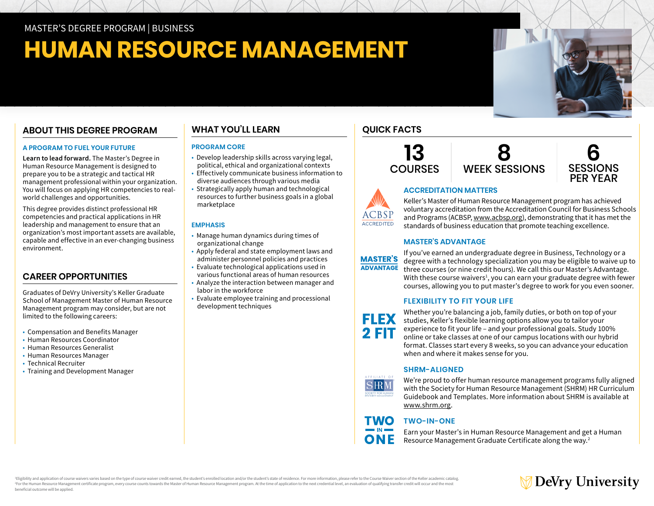# **HUMAN RESOURCE MANAGEMENT**

# **ABOUT THIS DEGREE PROGRAM**

#### **A PROGRAM TO FUEL YOUR FUTURE**

**Learn to lead forward.** The Master's Degree in Human Resource Management is designed to prepare you to be a strategic and tactical HR management professional within your organization. You will focus on applying HR competencies to realworld challenges and opportunities.

This degree provides distinct professional HR competencies and practical applications in HR leadership and management to ensure that an organization's most important assets are available, capable and effective in an ever-changing business environment.

# **CAREER OPPORTUNITIES**

Graduates of DeVry University's Keller Graduate School of Management Master of Human Resource Management program may consider, but are not limited to the following careers:

- Compensation and Benefits Manager
- Human Resources Coordinator
- Human Resources Generalist
- Human Resources Manager
- Technical Recruiter
- Training and Development Manager

# **WHAT YOU'LL LEARN**

#### **PROGRAM CORE**

- Develop leadership skills across varying legal, political, ethical and organizational contexts
- Effectively communicate business information to diverse audiences through various media
- Strategically apply human and technological resources to further business goals in a global marketplace

#### **EMPHASIS**

- Manage human dynamics during times of organizational change
- Apply federal and state employment laws and administer personnel policies and practices
- Evaluate technological applications used in various functional areas of human resources
- Analyze the interaction between manager and labor in the workforce
- Evaluate employee training and processional development techniques





# \CBSI ACCREDITED

Keller's Master of Human Resource Management program has achieved voluntary accreditation from the Accreditation Council for Business Schools and Programs (ACBSP, [www.acbsp.org](https://www.acbsp.org)), demonstrating that it has met the standards of business education that promote teaching excellence.

### **MASTER'S ADVANTAGE**

**ACCREDITATION MATTERS**



If you've earned an undergraduate degree in Business, Technology or a degree with a technology specialization you may be eligible to waive up to three courses (or nine credit hours). We call this our Master's Advantage. With these course waivers<sup>1</sup>, you can earn your graduate degree with fewer courses, allowing you to put master's degree to work for you even sooner.

#### **FLEXIBILITY TO FIT YOUR LIFE**



Whether you're balancing a job, family duties, or both on top of your studies, Keller's flexible learning options allow you to tailor your experience to fit your life – and your professional goals. Study 100% online or take classes at one of our campus locations with our hybrid format. Classes start every 8 weeks, so you can advance your education when and where it makes sense for you.

#### **SHRM-ALIGNED**



**TWO** 

We're proud to offer human resource management programs fully aligned with the Society for Human Resource Management (SHRM) HR Curriculum Guidebook and Templates. More information about SHRM is available at [www.shrm.org.](https://www.shrm.org)

# **TWO-IN-ONE**

Earn your Master's in Human Resource Management and get a Human Resource Management Graduate Certificate along the way.2

Eligibility and application of course waivers varies based on the type of course waiver credit earned, the student's enrolled location and/or the student's state of residence. For more information, please refer to the Cour For the Human Resource Management certificate program, every course counts towards the Master of Human Resource Management program. At the time of application to the next credential level, an evaluation of qualifying trans beneficial outcome will be applied.